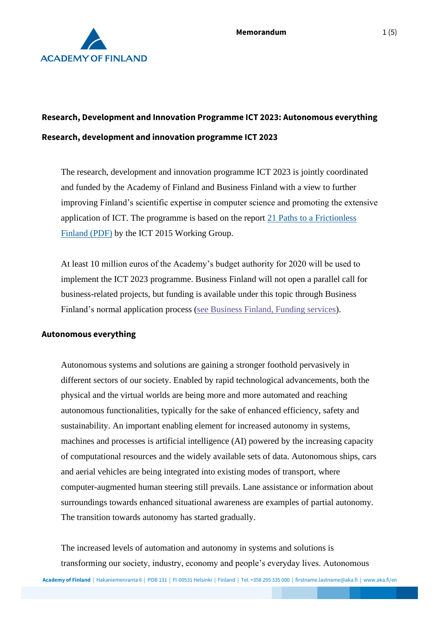

# **Research, Development and Innovation Programme ICT 2023: Autonomous everything Research, development and innovation programme ICT 2023**

The research, development and innovation programme ICT 2023 is jointly coordinated and funded by the Academy of Finland and Business Finland with a view to further improving Finland's scientific expertise in computer science and promoting the extensive application of ICT. The programme is based on the report [21 Paths to a Frictionless](https://tem.fi/documents/1410877/3437254/21+Paths+to+a+frictionless+Finland+15052013.pdf)  [Finland \(PDF\)](https://tem.fi/documents/1410877/3437254/21+Paths+to+a+frictionless+Finland+15052013.pdf) by the ICT 2015 Working Group.

At least 10 million euros of the Academy's budget authority for 2020 will be used to implement the ICT 2023 programme. Business Finland will not open a parallel call for business-related projects, but funding is available under this topic through Business Finland's normal application process [\(see Business Finland, Funding services\)](https://www.businessfinland.fi/en/for-finnish-customers/services/funding/).

#### **Autonomous everything**

Autonomous systems and solutions are gaining a stronger foothold pervasively in different sectors of our society. Enabled by rapid technological advancements, both the physical and the virtual worlds are being more and more automated and reaching autonomous functionalities, typically for the sake of enhanced efficiency, safety and sustainability. An important enabling element for increased autonomy in systems, machines and processes is artificial intelligence (AI) powered by the increasing capacity of computational resources and the widely available sets of data. Autonomous ships, cars and aerial vehicles are being integrated into existing modes of transport, where computer-augmented human steering still prevails. Lane assistance or information about surroundings towards enhanced situational awareness are examples of partial autonomy. The transition towards autonomy has started gradually.

The increased levels of automation and autonomy in systems and solutions is transforming our society, industry, economy and people's everyday lives. Autonomous

**Academy of Finland** | Hakaniemenranta 6 | POB 131 | FI-00531 Helsinki | Finland | Tel. +358 295 335 000 | firstname.lastname@aka.fi | www.aka.fi/en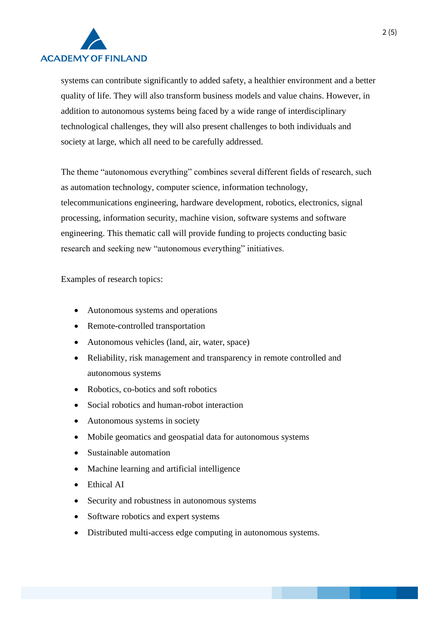

systems can contribute significantly to added safety, a healthier environment and a better quality of life. They will also transform business models and value chains. However, in addition to autonomous systems being faced by a wide range of interdisciplinary technological challenges, they will also present challenges to both individuals and society at large, which all need to be carefully addressed.

The theme "autonomous everything" combines several different fields of research, such as automation technology, computer science, information technology, telecommunications engineering, hardware development, robotics, electronics, signal processing, information security, machine vision, software systems and software engineering. This thematic call will provide funding to projects conducting basic research and seeking new "autonomous everything" initiatives.

Examples of research topics:

- Autonomous systems and operations
- Remote-controlled transportation
- Autonomous vehicles (land, air, water, space)
- Reliability, risk management and transparency in remote controlled and autonomous systems
- Robotics, co-botics and soft robotics
- Social robotics and human-robot interaction
- Autonomous systems in society
- Mobile geomatics and geospatial data for autonomous systems
- Sustainable automation
- Machine learning and artificial intelligence
- Ethical AI
- Security and robustness in autonomous systems
- Software robotics and expert systems
- Distributed multi-access edge computing in autonomous systems.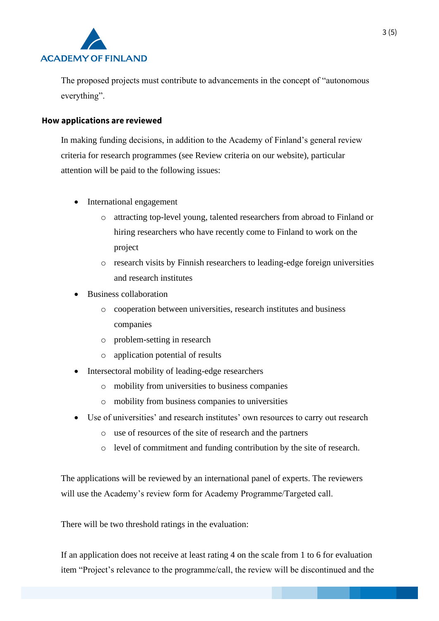

The proposed projects must contribute to advancements in the concept of "autonomous everything".

### **How applications are reviewed**

In making funding decisions, in addition to the Academy of Finland's general review criteria for research programmes (see Review criteria on our website), particular attention will be paid to the following issues:

- International engagement
	- o attracting top-level young, talented researchers from abroad to Finland or hiring researchers who have recently come to Finland to work on the project
	- o research visits by Finnish researchers to leading-edge foreign universities and research institutes
- Business collaboration
	- o cooperation between universities, research institutes and business companies
	- o problem-setting in research
	- o application potential of results
- Intersectoral mobility of leading-edge researchers
	- o mobility from universities to business companies
	- o mobility from business companies to universities
- Use of universities' and research institutes' own resources to carry out research
	- o use of resources of the site of research and the partners
	- o level of commitment and funding contribution by the site of research.

The applications will be reviewed by an international panel of experts. The reviewers will use the Academy's review form for Academy Programme/Targeted call.

There will be two threshold ratings in the evaluation:

If an application does not receive at least rating 4 on the scale from 1 to 6 for evaluation item "Project's relevance to the programme/call, the review will be discontinued and the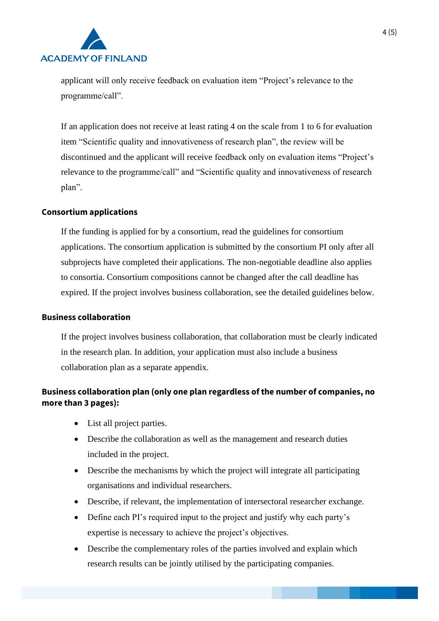

applicant will only receive feedback on evaluation item "Project's relevance to the programme/call".

If an application does not receive at least rating 4 on the scale from 1 to 6 for evaluation item "Scientific quality and innovativeness of research plan", the review will be discontinued and the applicant will receive feedback only on evaluation items "Project's relevance to the programme/call" and "Scientific quality and innovativeness of research plan".

## **Consortium applications**

If the funding is applied for by a consortium, read the guidelines for consortium applications. The consortium application is submitted by the consortium PI only after all subprojects have completed their applications. The non-negotiable deadline also applies to consortia. Consortium compositions cannot be changed after the call deadline has expired. If the project involves business collaboration, see the detailed guidelines below.

#### **Business collaboration**

If the project involves business collaboration, that collaboration must be clearly indicated in the research plan. In addition, your application must also include a business collaboration plan as a separate appendix.

## **Business collaboration plan (only one plan regardless of the number of companies, no more than 3 pages):**

- List all project parties.
- Describe the collaboration as well as the management and research duties included in the project.
- Describe the mechanisms by which the project will integrate all participating organisations and individual researchers.
- Describe, if relevant, the implementation of intersectoral researcher exchange.
- Define each PI's required input to the project and justify why each party's expertise is necessary to achieve the project's objectives.
- Describe the complementary roles of the parties involved and explain which research results can be jointly utilised by the participating companies.